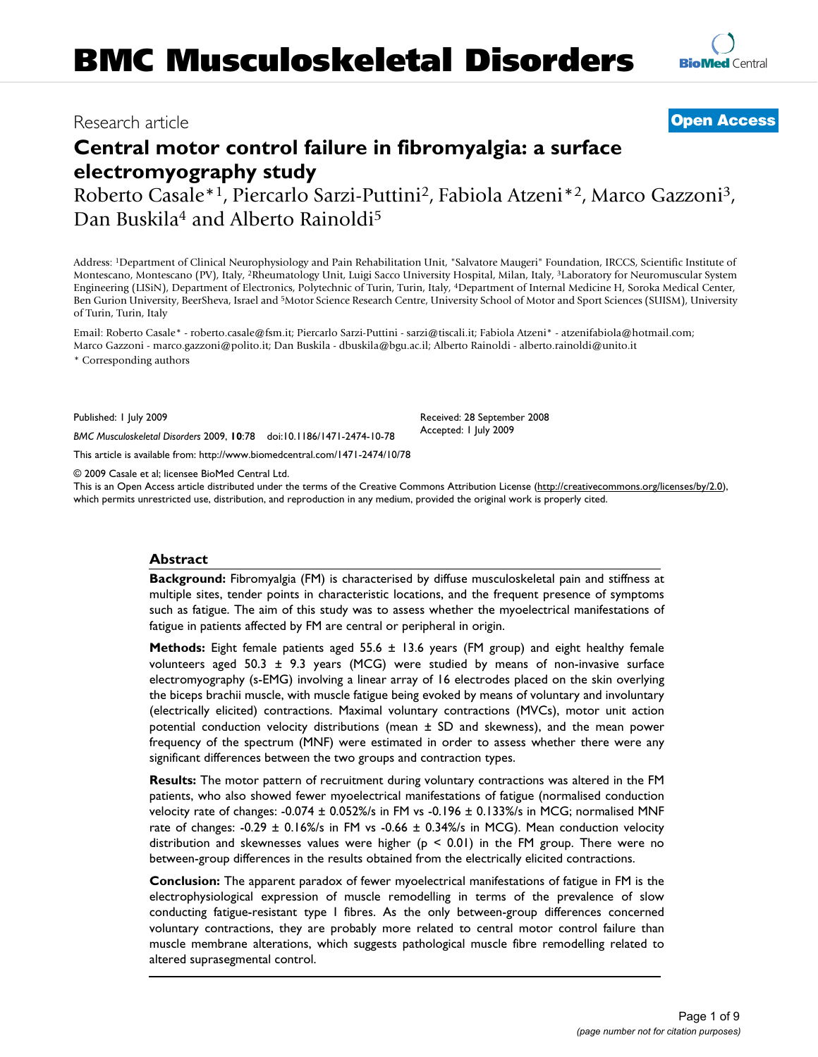# Research article **[Open Access](http://www.biomedcentral.com/info/about/charter/)**

# **Central motor control failure in fibromyalgia: a surface electromyography study**

Roberto Casale\*1, Piercarlo Sarzi-Puttini2, Fabiola Atzeni\*2, Marco Gazzoni3, Dan Buskila<sup>4</sup> and Alberto Rainoldi<sup>5</sup>

Address: 1Department of Clinical Neurophysiology and Pain Rehabilitation Unit, "Salvatore Maugeri" Foundation, IRCCS, Scientific Institute of Montescano, Montescano (PV), Italy, 2Rheumatology Unit, Luigi Sacco University Hospital, Milan, Italy, 3Laboratory for Neuromuscular System Engineering (LISiN), Department of Electronics, Polytechnic of Turin, Turin, Italy, 4Department of Internal Medicine H, Soroka Medical Center, Ben Gurion University, BeerSheva, Israel and 5Motor Science Research Centre, University School of Motor and Sport Sciences (SUISM), University of Turin, Turin, Italy

Email: Roberto Casale\* - roberto.casale@fsm.it; Piercarlo Sarzi-Puttini - sarzi@tiscali.it; Fabiola Atzeni\* - atzenifabiola@hotmail.com; Marco Gazzoni - marco.gazzoni@polito.it; Dan Buskila - dbuskila@bgu.ac.il; Alberto Rainoldi - alberto.rainoldi@unito.it \* Corresponding authors

Published: 1 July 2009

*BMC Musculoskeletal Disorders* 2009, **10**:78 doi:10.1186/1471-2474-10-78

[This article is available from: http://www.biomedcentral.com/1471-2474/10/78](http://www.biomedcentral.com/1471-2474/10/78)

© 2009 Casale et al; licensee BioMed Central Ltd.

This is an Open Access article distributed under the terms of the Creative Commons Attribution License [\(http://creativecommons.org/licenses/by/2.0\)](http://creativecommons.org/licenses/by/2.0), which permits unrestricted use, distribution, and reproduction in any medium, provided the original work is properly cited.

# **Abstract**

**Background:** Fibromyalgia (FM) is characterised by diffuse musculoskeletal pain and stiffness at multiple sites, tender points in characteristic locations, and the frequent presence of symptoms such as fatigue. The aim of this study was to assess whether the myoelectrical manifestations of fatigue in patients affected by FM are central or peripheral in origin.

**Methods:** Eight female patients aged 55.6 ± 13.6 years (FM group) and eight healthy female volunteers aged 50.3  $\pm$  9.3 years (MCG) were studied by means of non-invasive surface electromyography (s-EMG) involving a linear array of 16 electrodes placed on the skin overlying the biceps brachii muscle, with muscle fatigue being evoked by means of voluntary and involuntary (electrically elicited) contractions. Maximal voluntary contractions (MVCs), motor unit action potential conduction velocity distributions (mean ± SD and skewness), and the mean power frequency of the spectrum (MNF) were estimated in order to assess whether there were any significant differences between the two groups and contraction types.

**Results:** The motor pattern of recruitment during voluntary contractions was altered in the FM patients, who also showed fewer myoelectrical manifestations of fatigue (normalised conduction velocity rate of changes: -0.074 ± 0.052%/s in FM vs -0.196 ± 0.133%/s in MCG; normalised MNF rate of changes: -0.29  $\pm$  0.16%/s in FM vs -0.66  $\pm$  0.34%/s in MCG). Mean conduction velocity distribution and skewnesses values were higher ( $p < 0.01$ ) in the FM group. There were no between-group differences in the results obtained from the electrically elicited contractions.

**Conclusion:** The apparent paradox of fewer myoelectrical manifestations of fatigue in FM is the electrophysiological expression of muscle remodelling in terms of the prevalence of slow conducting fatigue-resistant type I fibres. As the only between-group differences concerned voluntary contractions, they are probably more related to central motor control failure than muscle membrane alterations, which suggests pathological muscle fibre remodelling related to altered suprasegmental control.

Received: 28 September 2008 Accepted: 1 July 2009

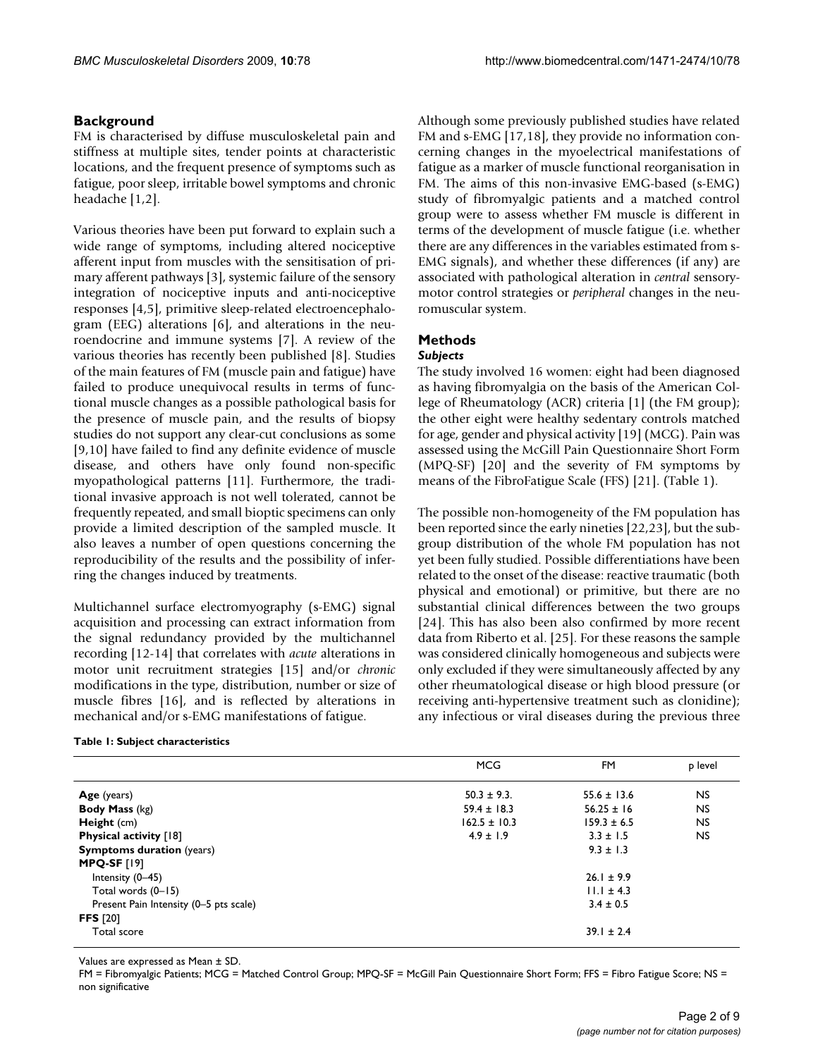# **Background**

FM is characterised by diffuse musculoskeletal pain and stiffness at multiple sites, tender points at characteristic locations, and the frequent presence of symptoms such as fatigue, poor sleep, irritable bowel symptoms and chronic headache [1,2].

Various theories have been put forward to explain such a wide range of symptoms, including altered nociceptive afferent input from muscles with the sensitisation of primary afferent pathways [3], systemic failure of the sensory integration of nociceptive inputs and anti-nociceptive responses [4,5], primitive sleep-related electroencephalogram (EEG) alterations [6], and alterations in the neuroendocrine and immune systems [7]. A review of the various theories has recently been published [8]. Studies of the main features of FM (muscle pain and fatigue) have failed to produce unequivocal results in terms of functional muscle changes as a possible pathological basis for the presence of muscle pain, and the results of biopsy studies do not support any clear-cut conclusions as some [9,10] have failed to find any definite evidence of muscle disease, and others have only found non-specific myopathological patterns [11]. Furthermore, the traditional invasive approach is not well tolerated, cannot be frequently repeated, and small bioptic specimens can only provide a limited description of the sampled muscle. It also leaves a number of open questions concerning the reproducibility of the results and the possibility of inferring the changes induced by treatments.

Multichannel surface electromyography (s-EMG) signal acquisition and processing can extract information from the signal redundancy provided by the multichannel recording [12-14] that correlates with *acute* alterations in motor unit recruitment strategies [15] and/or *chronic* modifications in the type, distribution, number or size of muscle fibres [16], and is reflected by alterations in mechanical and/or s-EMG manifestations of fatigue.

### **Table 1: Subject characteristics**

Although some previously published studies have related FM and s-EMG [17,18], they provide no information concerning changes in the myoelectrical manifestations of fatigue as a marker of muscle functional reorganisation in FM. The aims of this non-invasive EMG-based (s-EMG) study of fibromyalgic patients and a matched control group were to assess whether FM muscle is different in terms of the development of muscle fatigue (i.e. whether there are any differences in the variables estimated from s-EMG signals), and whether these differences (if any) are associated with pathological alteration in *central* sensorymotor control strategies or *peripheral* changes in the neuromuscular system.

# **Methods**

# *Subjects*

The study involved 16 women: eight had been diagnosed as having fibromyalgia on the basis of the American College of Rheumatology (ACR) criteria [1] (the FM group); the other eight were healthy sedentary controls matched for age, gender and physical activity [19] (MCG). Pain was assessed using the McGill Pain Questionnaire Short Form (MPQ-SF) [20] and the severity of FM symptoms by means of the FibroFatigue Scale (FFS) [21]. (Table 1).

The possible non-homogeneity of the FM population has been reported since the early nineties [22,23], but the subgroup distribution of the whole FM population has not yet been fully studied. Possible differentiations have been related to the onset of the disease: reactive traumatic (both physical and emotional) or primitive, but there are no substantial clinical differences between the two groups [24]. This has also been also confirmed by more recent data from Riberto et al. [25]. For these reasons the sample was considered clinically homogeneous and subjects were only excluded if they were simultaneously affected by any other rheumatological disease or high blood pressure (or receiving anti-hypertensive treatment such as clonidine); any infectious or viral diseases during the previous three

|                                        | <b>MCG</b>       | FM              | p level        |
|----------------------------------------|------------------|-----------------|----------------|
| Age (years)                            | $50.3 \pm 9.3$ . | $55.6 \pm 13.6$ | <b>NS</b>      |
| <b>Body Mass (kg)</b>                  | $59.4 \pm 18.3$  | $56.25 \pm 16$  | <b>NS</b>      |
| Height (cm)                            | $162.5 \pm 10.3$ | $159.3 \pm 6.5$ | N <sub>S</sub> |
| Physical activity [18]                 | $4.9 \pm 1.9$    | $3.3 \pm 1.5$   | NS.            |
| <b>Symptoms duration (years)</b>       |                  | $9.3 \pm 1.3$   |                |
| <b>MPQ-SF [19]</b>                     |                  |                 |                |
| Intensity (0-45)                       |                  | $26.1 \pm 9.9$  |                |
| Total words (0-15)                     |                  | $11.1 \pm 4.3$  |                |
| Present Pain Intensity (0-5 pts scale) |                  | $3.4 \pm 0.5$   |                |
| <b>FFS</b> [20]                        |                  |                 |                |
| Total score                            |                  | $39.1 \pm 2.4$  |                |

Values are expressed as Mean ± SD.

FM = Fibromyalgic Patients; MCG = Matched Control Group; MPQ-SF = McGill Pain Questionnaire Short Form; FFS = Fibro Fatigue Score; NS = non significative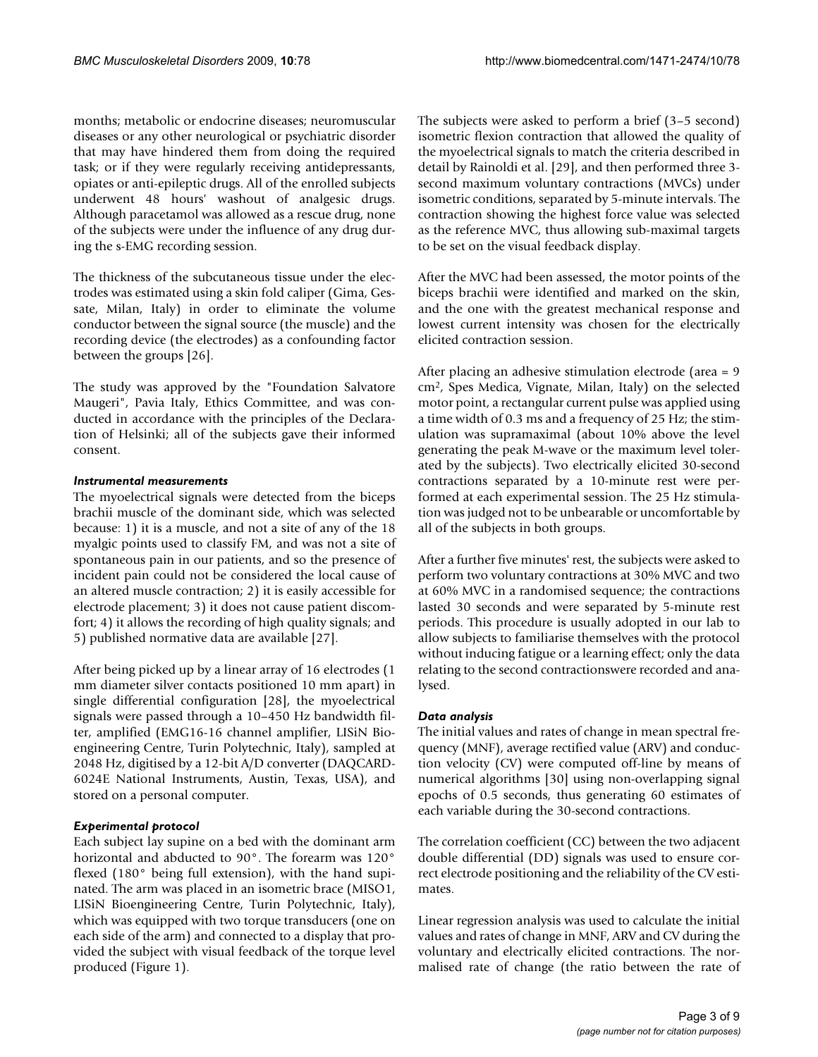months; metabolic or endocrine diseases; neuromuscular diseases or any other neurological or psychiatric disorder that may have hindered them from doing the required task; or if they were regularly receiving antidepressants, opiates or anti-epileptic drugs. All of the enrolled subjects underwent 48 hours' washout of analgesic drugs. Although paracetamol was allowed as a rescue drug, none of the subjects were under the influence of any drug during the s-EMG recording session.

The thickness of the subcutaneous tissue under the electrodes was estimated using a skin fold caliper (Gima, Gessate, Milan, Italy) in order to eliminate the volume conductor between the signal source (the muscle) and the recording device (the electrodes) as a confounding factor between the groups [26].

The study was approved by the "Foundation Salvatore Maugeri", Pavia Italy, Ethics Committee, and was conducted in accordance with the principles of the Declaration of Helsinki; all of the subjects gave their informed consent.

# *Instrumental measurements*

The myoelectrical signals were detected from the biceps brachii muscle of the dominant side, which was selected because: 1) it is a muscle, and not a site of any of the 18 myalgic points used to classify FM, and was not a site of spontaneous pain in our patients, and so the presence of incident pain could not be considered the local cause of an altered muscle contraction; 2) it is easily accessible for electrode placement; 3) it does not cause patient discomfort; 4) it allows the recording of high quality signals; and 5) published normative data are available [27].

After being picked up by a linear array of 16 electrodes (1 mm diameter silver contacts positioned 10 mm apart) in single differential configuration [28], the myoelectrical signals were passed through a 10–450 Hz bandwidth filter, amplified (EMG16-16 channel amplifier, LISiN Bioengineering Centre, Turin Polytechnic, Italy), sampled at 2048 Hz, digitised by a 12-bit A/D converter (DAQCARD-6024E National Instruments, Austin, Texas, USA), and stored on a personal computer.

# *Experimental protocol*

Each subject lay supine on a bed with the dominant arm horizontal and abducted to 90°. The forearm was 120° flexed (180° being full extension), with the hand supinated. The arm was placed in an isometric brace (MISO1, LISiN Bioengineering Centre, Turin Polytechnic, Italy), which was equipped with two torque transducers (one on each side of the arm) and connected to a display that provided the subject with visual feedback of the torque level produced (Figure 1).

The subjects were asked to perform a brief (3–5 second) isometric flexion contraction that allowed the quality of the myoelectrical signals to match the criteria described in detail by Rainoldi et al. [29], and then performed three 3 second maximum voluntary contractions (MVCs) under isometric conditions, separated by 5-minute intervals. The contraction showing the highest force value was selected as the reference MVC, thus allowing sub-maximal targets to be set on the visual feedback display.

After the MVC had been assessed, the motor points of the biceps brachii were identified and marked on the skin, and the one with the greatest mechanical response and lowest current intensity was chosen for the electrically elicited contraction session.

After placing an adhesive stimulation electrode (area = 9 cm2, Spes Medica, Vignate, Milan, Italy) on the selected motor point, a rectangular current pulse was applied using a time width of 0.3 ms and a frequency of 25 Hz; the stimulation was supramaximal (about 10% above the level generating the peak M-wave or the maximum level tolerated by the subjects). Two electrically elicited 30-second contractions separated by a 10-minute rest were performed at each experimental session. The 25 Hz stimulation was judged not to be unbearable or uncomfortable by all of the subjects in both groups.

After a further five minutes' rest, the subjects were asked to perform two voluntary contractions at 30% MVC and two at 60% MVC in a randomised sequence; the contractions lasted 30 seconds and were separated by 5-minute rest periods. This procedure is usually adopted in our lab to allow subjects to familiarise themselves with the protocol without inducing fatigue or a learning effect; only the data relating to the second contractionswere recorded and analysed.

# *Data analysis*

The initial values and rates of change in mean spectral frequency (MNF), average rectified value (ARV) and conduction velocity (CV) were computed off-line by means of numerical algorithms [30] using non-overlapping signal epochs of 0.5 seconds, thus generating 60 estimates of each variable during the 30-second contractions.

The correlation coefficient (CC) between the two adjacent double differential (DD) signals was used to ensure correct electrode positioning and the reliability of the CV estimates.

Linear regression analysis was used to calculate the initial values and rates of change in MNF, ARV and CV during the voluntary and electrically elicited contractions. The normalised rate of change (the ratio between the rate of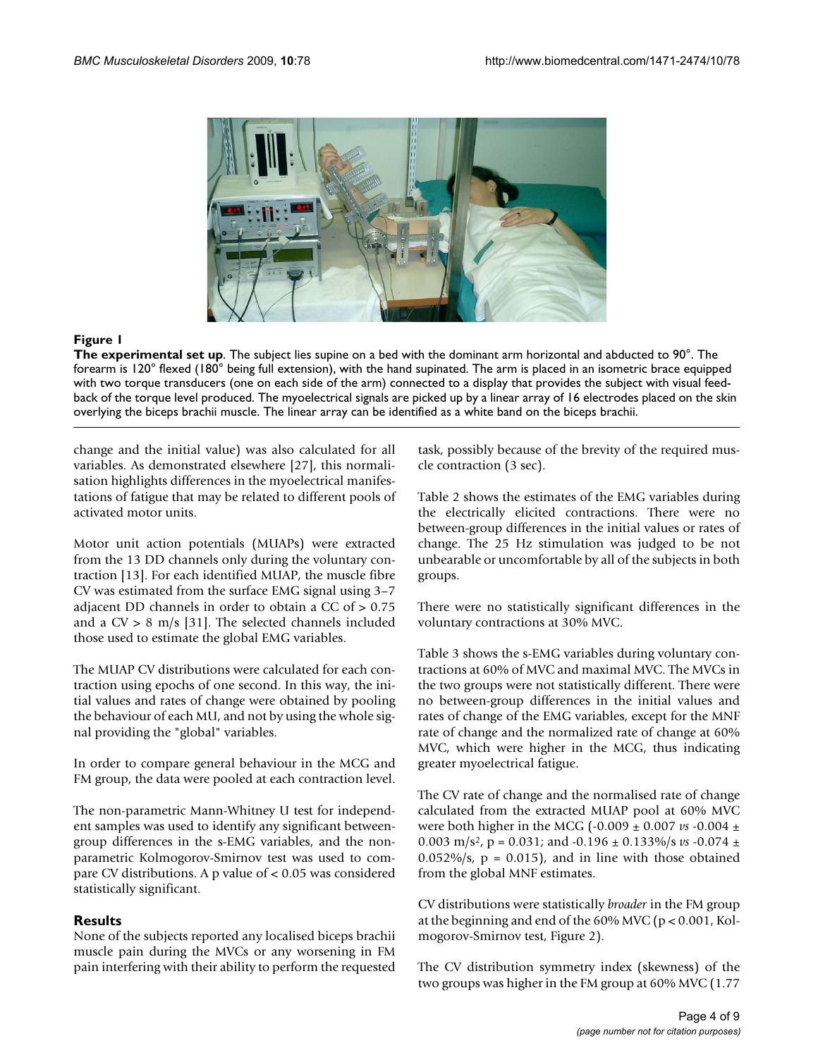

# **Figure 1**

**The experimental set up**. The subject lies supine on a bed with the dominant arm horizontal and abducted to 90°. The forearm is 120° flexed (180° being full extension), with the hand supinated. The arm is placed in an isometric brace equipped with two torque transducers (one on each side of the arm) connected to a display that provides the subject with visual feedback of the torque level produced. The myoelectrical signals are picked up by a linear array of 16 electrodes placed on the skin overlying the biceps brachii muscle. The linear array can be identified as a white band on the biceps brachii.

change and the initial value) was also calculated for all variables. As demonstrated elsewhere [27], this normalisation highlights differences in the myoelectrical manifestations of fatigue that may be related to different pools of activated motor units.

Motor unit action potentials (MUAPs) were extracted from the 13 DD channels only during the voluntary contraction [13]. For each identified MUAP, the muscle fibre CV was estimated from the surface EMG signal using 3–7 adjacent DD channels in order to obtain a CC of > 0.75 and a  $CV > 8$  m/s [31]. The selected channels included those used to estimate the global EMG variables.

The MUAP CV distributions were calculated for each contraction using epochs of one second. In this way, the initial values and rates of change were obtained by pooling the behaviour of each MU, and not by using the whole signal providing the "global" variables.

In order to compare general behaviour in the MCG and FM group, the data were pooled at each contraction level.

The non-parametric Mann-Whitney U test for independent samples was used to identify any significant betweengroup differences in the s-EMG variables, and the nonparametric Kolmogorov-Smirnov test was used to compare CV distributions. A p value of < 0.05 was considered statistically significant.

# **Results**

None of the subjects reported any localised biceps brachii muscle pain during the MVCs or any worsening in FM pain interfering with their ability to perform the requested task, possibly because of the brevity of the required muscle contraction (3 sec).

Table 2 shows the estimates of the EMG variables during the electrically elicited contractions. There were no between-group differences in the initial values or rates of change. The 25 Hz stimulation was judged to be not unbearable or uncomfortable by all of the subjects in both groups.

There were no statistically significant differences in the voluntary contractions at 30% MVC.

Table 3 shows the s-EMG variables during voluntary contractions at 60% of MVC and maximal MVC. The MVCs in the two groups were not statistically different. There were no between-group differences in the initial values and rates of change of the EMG variables, except for the MNF rate of change and the normalized rate of change at 60% MVC, which were higher in the MCG, thus indicating greater myoelectrical fatigue.

The CV rate of change and the normalised rate of change calculated from the extracted MUAP pool at 60% MVC were both higher in the MCG (-0.009 ± 0.007 *vs* -0.004 ± 0.003 m/s<sup>2</sup>, p = 0.031; and  $-0.196 \pm 0.133\%$ /s *vs*  $-0.074 \pm 0.003$  $0.052\%/s, p = 0.015$ , and in line with those obtained from the global MNF estimates.

CV distributions were statistically *broader* in the FM group at the beginning and end of the 60% MVC (p < 0.001, Kolmogorov-Smirnov test, Figure 2).

The CV distribution symmetry index (skewness) of the two groups was higher in the FM group at 60% MVC (1.77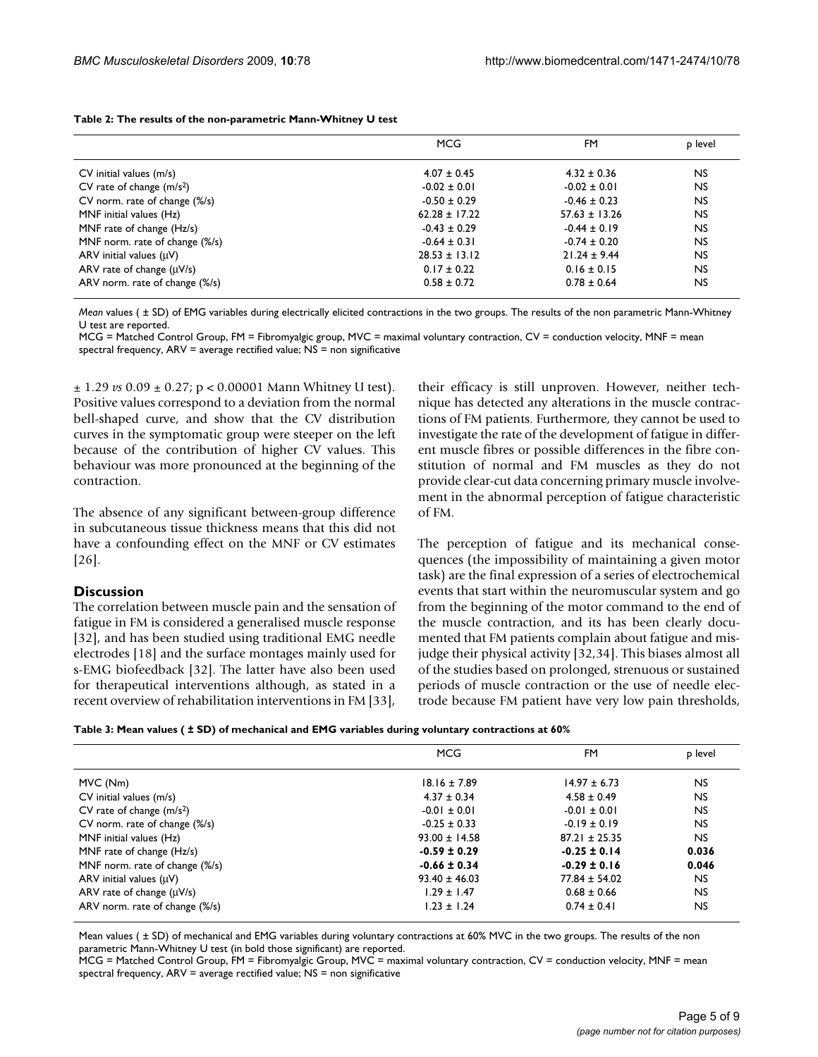|                                | <b>MCG</b>        | FM                | p level   |
|--------------------------------|-------------------|-------------------|-----------|
| $CV$ initial values $(m/s)$    | $4.07 \pm 0.45$   | $4.32 \pm 0.36$   | NS.       |
| CV rate of change $(m/s2)$     | $-0.02 \pm 0.01$  | $-0.02 \pm 0.01$  | <b>NS</b> |
| CV norm. rate of change (%/s)  | $-0.50 \pm 0.29$  | $-0.46 \pm 0.23$  | <b>NS</b> |
| MNF initial values (Hz)        | $62.28 \pm 17.22$ | $57.63 \pm 13.26$ | <b>NS</b> |
| MNF rate of change (Hz/s)      | $-0.43 \pm 0.29$  | $-0.44 \pm 0.19$  | <b>NS</b> |
| MNF norm. rate of change (%/s) | $-0.64 \pm 0.31$  | $-0.74 \pm 0.20$  | <b>NS</b> |
| ARV initial values $(uV)$      | $28.53 \pm 13.12$ | $21.24 \pm 9.44$  | <b>NS</b> |
| ARV rate of change $(\mu V/s)$ | $0.17 \pm 0.22$   | $0.16 \pm 0.15$   | <b>NS</b> |
| ARV norm. rate of change (%/s) | $0.58 \pm 0.72$   | $0.78 \pm 0.64$   | <b>NS</b> |

**Table 2: The results of the non-parametric Mann-Whitney U test**

*Mean* values ( ± SD) of EMG variables during electrically elicited contractions in the two groups. The results of the non parametric Mann-Whitney U test are reported.

MCG = Matched Control Group, FM = Fibromyalgic group, MVC = maximal voluntary contraction, CV = conduction velocity, MNF = mean spectral frequency, ARV = average rectified value; NS = non significative

± 1.29 *vs* 0.09 ± 0.27; p < 0.00001 Mann Whitney U test). Positive values correspond to a deviation from the normal bell-shaped curve, and show that the CV distribution curves in the symptomatic group were steeper on the left because of the contribution of higher CV values. This behaviour was more pronounced at the beginning of the contraction.

The absence of any significant between-group difference in subcutaneous tissue thickness means that this did not have a confounding effect on the MNF or CV estimates [26].

# **Discussion**

The correlation between muscle pain and the sensation of fatigue in FM is considered a generalised muscle response [32], and has been studied using traditional EMG needle electrodes [18] and the surface montages mainly used for s-EMG biofeedback [32]. The latter have also been used for therapeutical interventions although, as stated in a recent overview of rehabilitation interventions in FM [33], their efficacy is still unproven. However, neither technique has detected any alterations in the muscle contractions of FM patients. Furthermore, they cannot be used to investigate the rate of the development of fatigue in different muscle fibres or possible differences in the fibre constitution of normal and FM muscles as they do not provide clear-cut data concerning primary muscle involvement in the abnormal perception of fatigue characteristic of FM.

The perception of fatigue and its mechanical consequences (the impossibility of maintaining a given motor task) are the final expression of a series of electrochemical events that start within the neuromuscular system and go from the beginning of the motor command to the end of the muscle contraction, and its has been clearly documented that FM patients complain about fatigue and misjudge their physical activity [32,34]. This biases almost all of the studies based on prolonged, strenuous or sustained periods of muscle contraction or the use of needle electrode because FM patient have very low pain thresholds,

|                                | <b>MCG</b>        | FM                | p level   |
|--------------------------------|-------------------|-------------------|-----------|
| MVC (Nm)                       | $18.16 \pm 7.89$  | $14.97 \pm 6.73$  | <b>NS</b> |
| $CV$ initial values $(m/s)$    | $4.37 \pm 0.34$   | $4.58 \pm 0.49$   | <b>NS</b> |
| CV rate of change $(m/s2)$     | $-0.01 \pm 0.01$  | $-0.01 \pm 0.01$  | <b>NS</b> |
| CV norm. rate of change (%/s)  | $-0.25 \pm 0.33$  | $-0.19 \pm 0.19$  | <b>NS</b> |
| MNF initial values (Hz)        | $93.00 \pm 14.58$ | $87.21 \pm 25.35$ | NS.       |
| MNF rate of change (Hz/s)      | $-0.59 \pm 0.29$  | $-0.25 \pm 0.14$  | 0.036     |
| MNF norm. rate of change (%/s) | $-0.66 \pm 0.34$  | $-0.29 \pm 0.16$  | 0.046     |
| ARV initial values $(\mu V)$   | $93.40 \pm 46.03$ | $77.84 \pm 54.02$ | NS.       |
| ARV rate of change $(\mu V/s)$ | $1.29 \pm 1.47$   | $0.68 \pm 0.66$   | <b>NS</b> |
| ARV norm. rate of change (%/s) | $1.23 \pm 1.24$   | $0.74 \pm 0.41$   | <b>NS</b> |

Mean values ( ± SD) of mechanical and EMG variables during voluntary contractions at 60% MVC in the two groups. The results of the non parametric Mann-Whitney U test (in bold those significant) are reported.

MCG = Matched Control Group, FM = Fibromyalgic Group, MVC = maximal voluntary contraction, CV = conduction velocity, MNF = mean spectral frequency, ARV = average rectified value; NS = non significative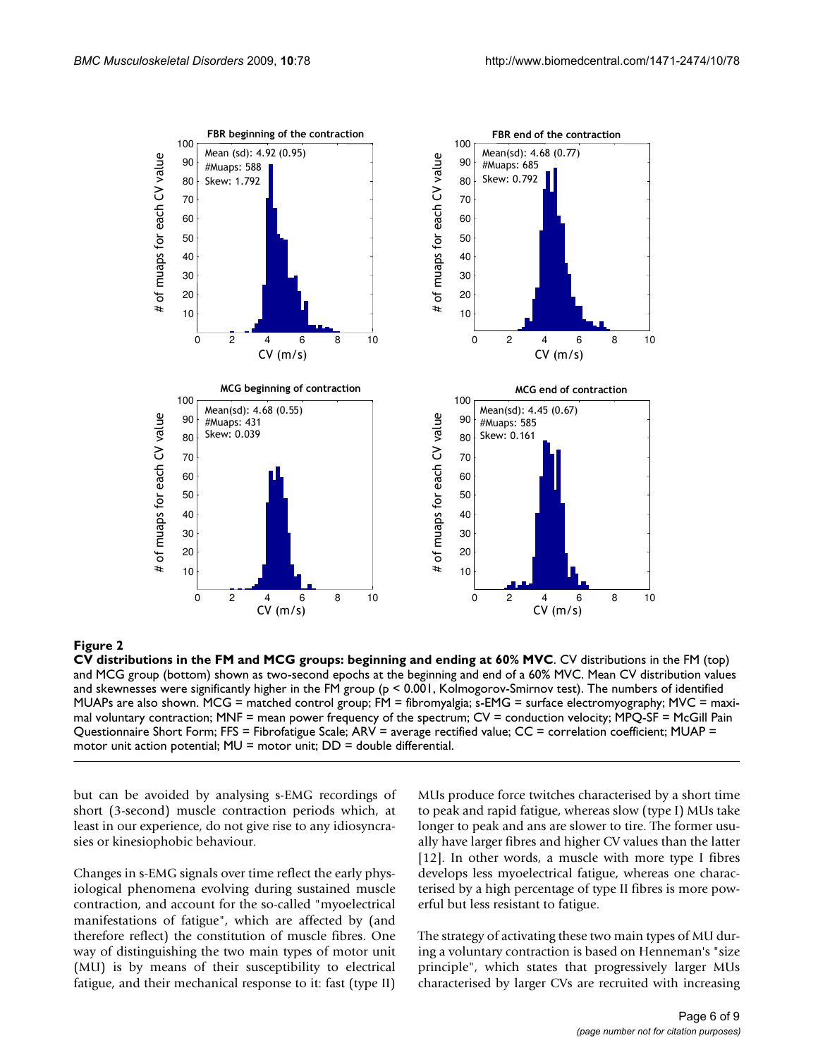

**CV distributions in the FM and MCG groups: beginning and ending at 60% MVC**. CV distributions in the FM (top) and MCG group (bottom) shown as two-second epochs at the beginning and end of a 60% MVC. Mean CV distribution values and skewnesses were significantly higher in the FM group (p < 0.001, Kolmogorov-Smirnov test). The numbers of identified MUAPs are also shown. MCG = matched control group; FM = fibromyalgia; s-EMG = surface electromyography; MVC = maximal voluntary contraction; MNF = mean power frequency of the spectrum;  $CV =$  conduction velocity; MPQ-SF = McGill Pain Questionnaire Short Form; FFS = Fibrofatigue Scale; ARV = average rectified value; CC = correlation coefficient; MUAP = motor unit action potential;  $MU = motor$  unit;  $DD = double$  differential.

but can be avoided by analysing s-EMG recordings of short (3-second) muscle contraction periods which, at least in our experience, do not give rise to any idiosyncrasies or kinesiophobic behaviour.

Changes in s-EMG signals over time reflect the early physiological phenomena evolving during sustained muscle contraction, and account for the so-called "myoelectrical manifestations of fatigue", which are affected by (and therefore reflect) the constitution of muscle fibres. One way of distinguishing the two main types of motor unit (MU) is by means of their susceptibility to electrical fatigue, and their mechanical response to it: fast (type II) MUs produce force twitches characterised by a short time to peak and rapid fatigue, whereas slow (type I) MUs take longer to peak and ans are slower to tire. The former usually have larger fibres and higher CV values than the latter [12]. In other words, a muscle with more type I fibres develops less myoelectrical fatigue, whereas one characterised by a high percentage of type II fibres is more powerful but less resistant to fatigue.

The strategy of activating these two main types of MU during a voluntary contraction is based on Henneman's "size principle", which states that progressively larger MUs characterised by larger CVs are recruited with increasing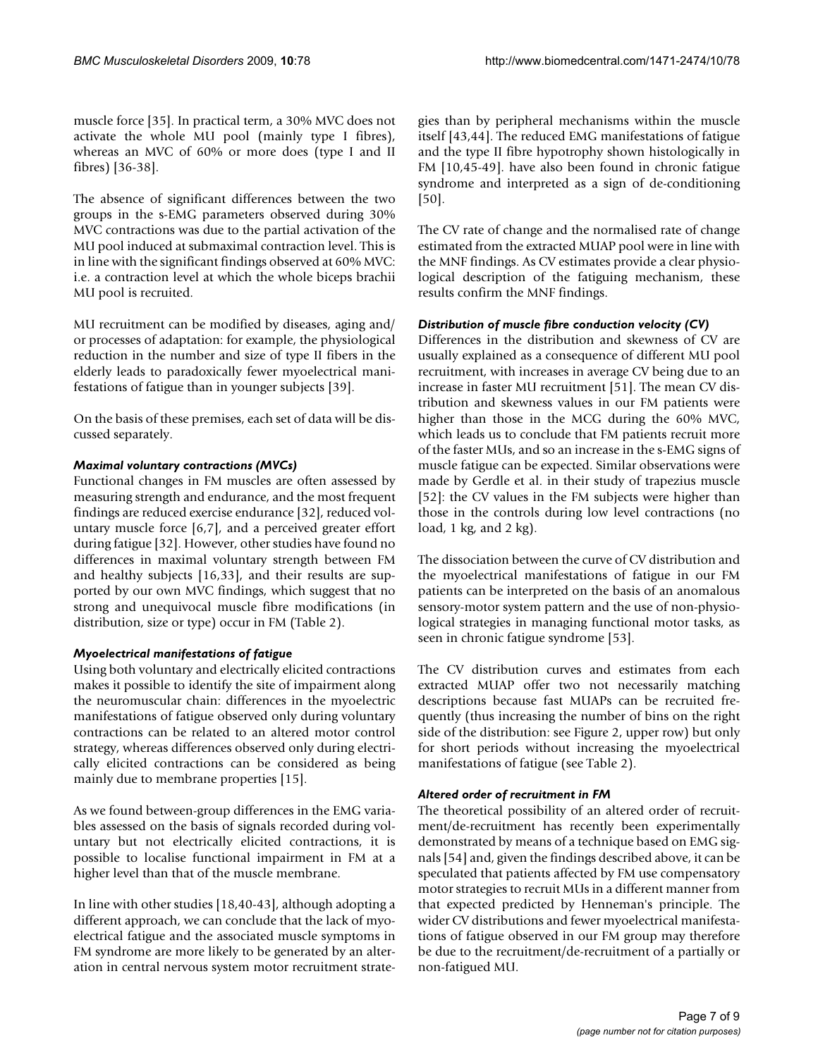muscle force [35]. In practical term, a 30% MVC does not activate the whole MU pool (mainly type I fibres), whereas an MVC of 60% or more does (type I and II fibres) [36-38].

The absence of significant differences between the two groups in the s-EMG parameters observed during 30% MVC contractions was due to the partial activation of the MU pool induced at submaximal contraction level. This is in line with the significant findings observed at 60% MVC: i.e. a contraction level at which the whole biceps brachii MU pool is recruited.

MU recruitment can be modified by diseases, aging and/ or processes of adaptation: for example, the physiological reduction in the number and size of type II fibers in the elderly leads to paradoxically fewer myoelectrical manifestations of fatigue than in younger subjects [39].

On the basis of these premises, each set of data will be discussed separately.

# *Maximal voluntary contractions (MVCs)*

Functional changes in FM muscles are often assessed by measuring strength and endurance, and the most frequent findings are reduced exercise endurance [32], reduced voluntary muscle force [6,7], and a perceived greater effort during fatigue [32]. However, other studies have found no differences in maximal voluntary strength between FM and healthy subjects [16,33], and their results are supported by our own MVC findings, which suggest that no strong and unequivocal muscle fibre modifications (in distribution, size or type) occur in FM (Table 2).

# *Myoelectrical manifestations of fatigue*

Using both voluntary and electrically elicited contractions makes it possible to identify the site of impairment along the neuromuscular chain: differences in the myoelectric manifestations of fatigue observed only during voluntary contractions can be related to an altered motor control strategy, whereas differences observed only during electrically elicited contractions can be considered as being mainly due to membrane properties [15].

As we found between-group differences in the EMG variables assessed on the basis of signals recorded during voluntary but not electrically elicited contractions, it is possible to localise functional impairment in FM at a higher level than that of the muscle membrane.

In line with other studies [18,40-43], although adopting a different approach, we can conclude that the lack of myoelectrical fatigue and the associated muscle symptoms in FM syndrome are more likely to be generated by an alteration in central nervous system motor recruitment strategies than by peripheral mechanisms within the muscle itself [43,44]. The reduced EMG manifestations of fatigue and the type II fibre hypotrophy shown histologically in FM [10,45-49]. have also been found in chronic fatigue syndrome and interpreted as a sign of de-conditioning [50].

The CV rate of change and the normalised rate of change estimated from the extracted MUAP pool were in line with the MNF findings. As CV estimates provide a clear physiological description of the fatiguing mechanism, these results confirm the MNF findings.

# *Distribution of muscle fibre conduction velocity (CV)*

Differences in the distribution and skewness of CV are usually explained as a consequence of different MU pool recruitment, with increases in average CV being due to an increase in faster MU recruitment [51]. The mean CV distribution and skewness values in our FM patients were higher than those in the MCG during the 60% MVC, which leads us to conclude that FM patients recruit more of the faster MUs, and so an increase in the s-EMG signs of muscle fatigue can be expected. Similar observations were made by Gerdle et al. in their study of trapezius muscle [52]: the CV values in the FM subjects were higher than those in the controls during low level contractions (no load,  $1 \text{ kg}$ , and  $2 \text{ kg}$ ).

The dissociation between the curve of CV distribution and the myoelectrical manifestations of fatigue in our FM patients can be interpreted on the basis of an anomalous sensory-motor system pattern and the use of non-physiological strategies in managing functional motor tasks, as seen in chronic fatigue syndrome [53].

The CV distribution curves and estimates from each extracted MUAP offer two not necessarily matching descriptions because fast MUAPs can be recruited frequently (thus increasing the number of bins on the right side of the distribution: see Figure 2, upper row) but only for short periods without increasing the myoelectrical manifestations of fatigue (see Table 2).

# *Altered order of recruitment in FM*

The theoretical possibility of an altered order of recruitment/de-recruitment has recently been experimentally demonstrated by means of a technique based on EMG signals [54] and, given the findings described above, it can be speculated that patients affected by FM use compensatory motor strategies to recruit MUs in a different manner from that expected predicted by Henneman's principle. The wider CV distributions and fewer myoelectrical manifestations of fatigue observed in our FM group may therefore be due to the recruitment/de-recruitment of a partially or non-fatigued MU.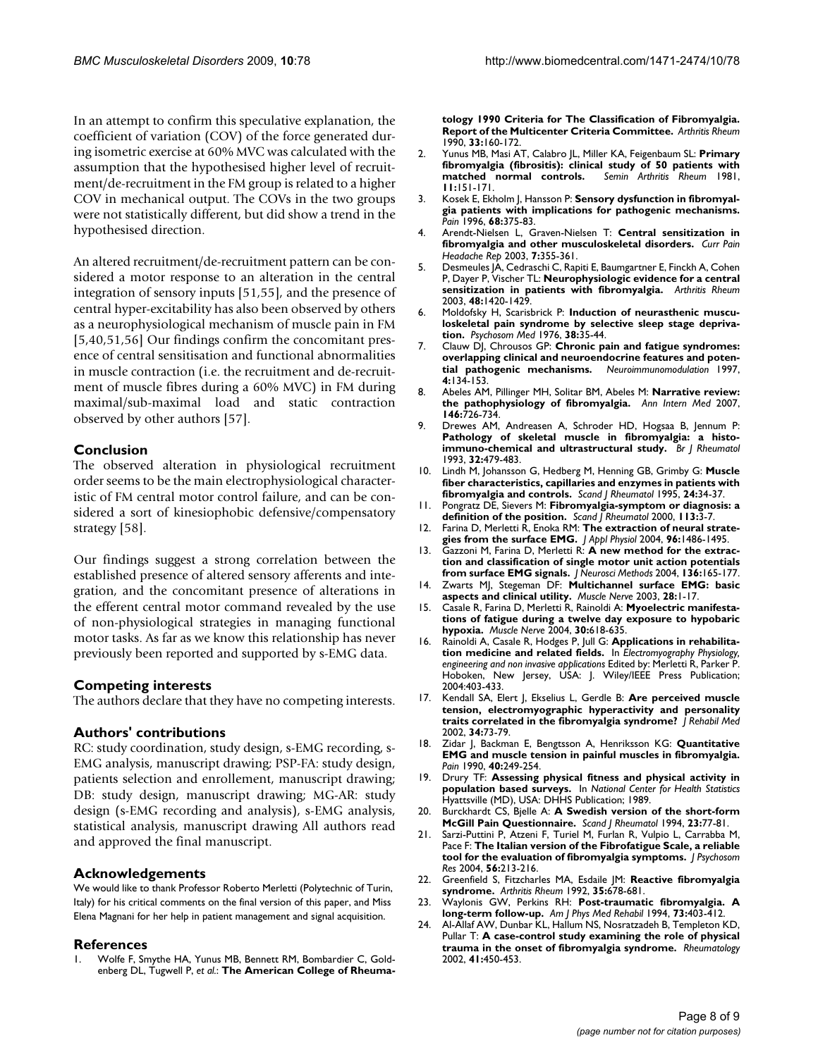In an attempt to confirm this speculative explanation, the coefficient of variation (COV) of the force generated during isometric exercise at 60% MVC was calculated with the assumption that the hypothesised higher level of recruitment/de-recruitment in the FM group is related to a higher COV in mechanical output. The COVs in the two groups were not statistically different, but did show a trend in the hypothesised direction.

An altered recruitment/de-recruitment pattern can be considered a motor response to an alteration in the central integration of sensory inputs [51,55], and the presence of central hyper-excitability has also been observed by others as a neurophysiological mechanism of muscle pain in FM [5,40,51,56] Our findings confirm the concomitant presence of central sensitisation and functional abnormalities in muscle contraction (i.e. the recruitment and de-recruitment of muscle fibres during a 60% MVC) in FM during maximal/sub-maximal load and static contraction observed by other authors [57].

# **Conclusion**

The observed alteration in physiological recruitment order seems to be the main electrophysiological characteristic of FM central motor control failure, and can be considered a sort of kinesiophobic defensive/compensatory strategy [58].

Our findings suggest a strong correlation between the established presence of altered sensory afferents and integration, and the concomitant presence of alterations in the efferent central motor command revealed by the use of non-physiological strategies in managing functional motor tasks. As far as we know this relationship has never previously been reported and supported by s-EMG data.

# **Competing interests**

The authors declare that they have no competing interests.

# **Authors' contributions**

RC: study coordination, study design, s-EMG recording, s-EMG analysis, manuscript drawing; PSP-FA: study design, patients selection and enrollement, manuscript drawing; DB: study design, manuscript drawing; MG-AR: study design (s-EMG recording and analysis), s-EMG analysis, statistical analysis, manuscript drawing All authors read and approved the final manuscript.

# **Acknowledgements**

We would like to thank Professor Roberto Merletti (Polytechnic of Turin, Italy) for his critical comments on the final version of this paper, and Miss Elena Magnani for her help in patient management and signal acquisition.

# **References**

1. Wolfe F, Smythe HA, Yunus MB, Bennett RM, Bombardier C, Goldenberg DL, Tugwell P, *et al.*: **[The American College of Rheuma-](http://www.ncbi.nlm.nih.gov/entrez/query.fcgi?cmd=Retrieve&db=PubMed&dopt=Abstract&list_uids=2306288)** **[tology 1990 Criteria for The Classification of Fibromyalgia.](http://www.ncbi.nlm.nih.gov/entrez/query.fcgi?cmd=Retrieve&db=PubMed&dopt=Abstract&list_uids=2306288) [Report of the Multicenter Criteria Committee.](http://www.ncbi.nlm.nih.gov/entrez/query.fcgi?cmd=Retrieve&db=PubMed&dopt=Abstract&list_uids=2306288)** *Arthritis Rheum* 1990, **33:**160-172.

- 2. Yunus MB, Masi AT, Calabro JL, Miller KA, Feigenbaum SL: **[Primary](http://www.ncbi.nlm.nih.gov/entrez/query.fcgi?cmd=Retrieve&db=PubMed&dopt=Abstract&list_uids=6944796) [fibromyalgia \(fibrositis\): clinical study of 50 patients with](http://www.ncbi.nlm.nih.gov/entrez/query.fcgi?cmd=Retrieve&db=PubMed&dopt=Abstract&list_uids=6944796)** [matched normal controls.](http://www.ncbi.nlm.nih.gov/entrez/query.fcgi?cmd=Retrieve&db=PubMed&dopt=Abstract&list_uids=6944796) **11:**151-171.
- 3. Kosek E, Ekholm J, Hansson P: **[Sensory dysfunction in fibromyal](http://www.ncbi.nlm.nih.gov/entrez/query.fcgi?cmd=Retrieve&db=PubMed&dopt=Abstract&list_uids=9121827)[gia patients with implications for pathogenic mechanisms.](http://www.ncbi.nlm.nih.gov/entrez/query.fcgi?cmd=Retrieve&db=PubMed&dopt=Abstract&list_uids=9121827)** *Pain* 1996, **68:**375-83.
- 4. Arendt-Nielsen L, Graven-Nielsen T: **[Central sensitization in](http://www.ncbi.nlm.nih.gov/entrez/query.fcgi?cmd=Retrieve&db=PubMed&dopt=Abstract&list_uids=12946288) [fibromyalgia and other musculoskeletal disorders.](http://www.ncbi.nlm.nih.gov/entrez/query.fcgi?cmd=Retrieve&db=PubMed&dopt=Abstract&list_uids=12946288)** *Curr Pain Headache Rep* 2003, **7:**355-361.
- 5. Desmeules JA, Cedraschi C, Rapiti E, Baumgartner E, Finckh A, Cohen P, Dayer P, Vischer TL: **[Neurophysiologic evidence for a central](http://www.ncbi.nlm.nih.gov/entrez/query.fcgi?cmd=Retrieve&db=PubMed&dopt=Abstract&list_uids=12746916) [sensitization in patients with fibromyalgia.](http://www.ncbi.nlm.nih.gov/entrez/query.fcgi?cmd=Retrieve&db=PubMed&dopt=Abstract&list_uids=12746916)** *Arthritis Rheum* 2003, **48:**1420-1429.
- 6. Moldofsky H, Scarisbrick P: **[Induction of neurasthenic muscu](http://www.ncbi.nlm.nih.gov/entrez/query.fcgi?cmd=Retrieve&db=PubMed&dopt=Abstract&list_uids=176677)[loskeletal pain syndrome by selective sleep stage depriva](http://www.ncbi.nlm.nih.gov/entrez/query.fcgi?cmd=Retrieve&db=PubMed&dopt=Abstract&list_uids=176677)[tion.](http://www.ncbi.nlm.nih.gov/entrez/query.fcgi?cmd=Retrieve&db=PubMed&dopt=Abstract&list_uids=176677)** *Psychosom Med* 1976, **38:**35-44.
- 7. Clauw DJ, Chrousos GP: **[Chronic pain and fatigue syndromes:](http://www.ncbi.nlm.nih.gov/entrez/query.fcgi?cmd=Retrieve&db=PubMed&dopt=Abstract&list_uids=9500148) [overlapping clinical and neuroendocrine features and poten](http://www.ncbi.nlm.nih.gov/entrez/query.fcgi?cmd=Retrieve&db=PubMed&dopt=Abstract&list_uids=9500148)[tial pathogenic mechanisms.](http://www.ncbi.nlm.nih.gov/entrez/query.fcgi?cmd=Retrieve&db=PubMed&dopt=Abstract&list_uids=9500148)** *Neuroimmunomodulation* 1997, **4:**134-153.
- 8. Abeles AM, Pillinger MH, Solitar BM, Abeles M: **[Narrative review:](http://www.ncbi.nlm.nih.gov/entrez/query.fcgi?cmd=Retrieve&db=PubMed&dopt=Abstract&list_uids=17502633) [the pathophysiology of fibromyalgia.](http://www.ncbi.nlm.nih.gov/entrez/query.fcgi?cmd=Retrieve&db=PubMed&dopt=Abstract&list_uids=17502633)** *Ann Intern Med* 2007, **146:**726-734.
- 9. Drewes AM, Andreasen A, Schroder HD, Hogsaa B, Jennum P: **[Pathology of skeletal muscle in fibromyalgia: a histo](http://www.ncbi.nlm.nih.gov/entrez/query.fcgi?cmd=Retrieve&db=PubMed&dopt=Abstract&list_uids=8508284)[immuno-chemical and ultrastructural study.](http://www.ncbi.nlm.nih.gov/entrez/query.fcgi?cmd=Retrieve&db=PubMed&dopt=Abstract&list_uids=8508284)** *Br J Rheumatol* 1993, **32:**479-483.
- 10. Lindh M, Johansson G, Hedberg M, Henning GB, Grimby G: **[Muscle](http://www.ncbi.nlm.nih.gov/entrez/query.fcgi?cmd=Retrieve&db=PubMed&dopt=Abstract&list_uids=7863276) [fiber characteristics, capillaries and enzymes in patients with](http://www.ncbi.nlm.nih.gov/entrez/query.fcgi?cmd=Retrieve&db=PubMed&dopt=Abstract&list_uids=7863276) [fibromyalgia and controls.](http://www.ncbi.nlm.nih.gov/entrez/query.fcgi?cmd=Retrieve&db=PubMed&dopt=Abstract&list_uids=7863276)** *Scand J Rheumatol* 1995, **24:**34-37.
- 11. Pongratz DE, Sievers M: **Fibromyalgia-symptom or diagnosis: a definition of the position.** *Scand J Rheumatol* 2000, **113:**3-7.
- 12. Farina D, Merletti R, Enoka RM: **[The extraction of neural strate](http://www.ncbi.nlm.nih.gov/entrez/query.fcgi?cmd=Retrieve&db=PubMed&dopt=Abstract&list_uids=15016793)[gies from the surface EMG.](http://www.ncbi.nlm.nih.gov/entrez/query.fcgi?cmd=Retrieve&db=PubMed&dopt=Abstract&list_uids=15016793)** *J Appl Physiol* 2004, **96:**1486-1495.
- 13. Gazzoni M, Farina D, Merletti R: **[A new method for the extrac](http://www.ncbi.nlm.nih.gov/entrez/query.fcgi?cmd=Retrieve&db=PubMed&dopt=Abstract&list_uids=15183268)[tion and classification of single motor unit action potentials](http://www.ncbi.nlm.nih.gov/entrez/query.fcgi?cmd=Retrieve&db=PubMed&dopt=Abstract&list_uids=15183268) [from surface EMG signals.](http://www.ncbi.nlm.nih.gov/entrez/query.fcgi?cmd=Retrieve&db=PubMed&dopt=Abstract&list_uids=15183268)** *J Neurosci Methods* 2004, **136:**165-177.
- 14. Zwarts MJ, Stegeman DF: **[Multichannel surface EMG: basic](http://www.ncbi.nlm.nih.gov/entrez/query.fcgi?cmd=Retrieve&db=PubMed&dopt=Abstract&list_uids=12811768) [aspects and clinical utility.](http://www.ncbi.nlm.nih.gov/entrez/query.fcgi?cmd=Retrieve&db=PubMed&dopt=Abstract&list_uids=12811768)** *Muscle Nerve* 2003, **28:**1-17.
- 15. Casale R, Farina D, Merletti R, Rainoldi A: **[Myoelectric manifesta](http://www.ncbi.nlm.nih.gov/entrez/query.fcgi?cmd=Retrieve&db=PubMed&dopt=Abstract&list_uids=15476258)[tions of fatigue during a twelve day exposure to hypobaric](http://www.ncbi.nlm.nih.gov/entrez/query.fcgi?cmd=Retrieve&db=PubMed&dopt=Abstract&list_uids=15476258) [hypoxia.](http://www.ncbi.nlm.nih.gov/entrez/query.fcgi?cmd=Retrieve&db=PubMed&dopt=Abstract&list_uids=15476258)** *Muscle Nerve* 2004, **30:**618-635.
- 16. Rainoldi A, Casale R, Hodges P, Jull G: **Applications in rehabilitation medicine and related fields.** In *Electromyography Physiology, engineering and non invasive applications* Edited by: Merletti R, Parker P. Hoboken, New Jersey, USA: J. Wiley/IEEE Press Publication; 2004:403-433.
- 17. Kendall SA, Elert J, Ekselius L, Gerdle B: **[Are perceived muscle](http://www.ncbi.nlm.nih.gov/entrez/query.fcgi?cmd=Retrieve&db=PubMed&dopt=Abstract&list_uids=12019583) [tension, electromyographic hyperactivity and personality](http://www.ncbi.nlm.nih.gov/entrez/query.fcgi?cmd=Retrieve&db=PubMed&dopt=Abstract&list_uids=12019583) [traits correlated in the fibromyalgia syndrome?](http://www.ncbi.nlm.nih.gov/entrez/query.fcgi?cmd=Retrieve&db=PubMed&dopt=Abstract&list_uids=12019583)** *J Rehabil Med* 2002, **34:**73-79.
- 18. Zidar J, Backman E, Bengtsson A, Henriksson KG: **[Quantitative](http://www.ncbi.nlm.nih.gov/entrez/query.fcgi?cmd=Retrieve&db=PubMed&dopt=Abstract&list_uids=2326091) [EMG and muscle tension in painful muscles in fibromyalgia.](http://www.ncbi.nlm.nih.gov/entrez/query.fcgi?cmd=Retrieve&db=PubMed&dopt=Abstract&list_uids=2326091)** *Pain* 1990, **40:**249-254.
- 19. Drury TF: **Assessing physical fitness and physical activity in population based surveys.** In *National Center for Health Statistics* Hyattsville (MD), USA: DHHS Publication; 1989.
- 20. Burckhardt CS, Bjelle A: **[A Swedish version of the short-form](http://www.ncbi.nlm.nih.gov/entrez/query.fcgi?cmd=Retrieve&db=PubMed&dopt=Abstract&list_uids=8165442) [McGill Pain Questionnaire.](http://www.ncbi.nlm.nih.gov/entrez/query.fcgi?cmd=Retrieve&db=PubMed&dopt=Abstract&list_uids=8165442)** *Scand J Rheumatol* 1994, **23:**77-81.
- 21. Sarzi-Puttini P, Atzeni F, Turiel M, Furlan R, Vulpio L, Carrabba M, Pace F: **[The Italian version of the Fibrofatigue Scale, a reliable](http://www.ncbi.nlm.nih.gov/entrez/query.fcgi?cmd=Retrieve&db=PubMed&dopt=Abstract&list_uids=15016581) [tool for the evaluation of fibromyalgia symptoms.](http://www.ncbi.nlm.nih.gov/entrez/query.fcgi?cmd=Retrieve&db=PubMed&dopt=Abstract&list_uids=15016581)** *J Psychosom Res* 2004, **56:**213-216.
- 22. Greenfield S, Fitzcharles MA, Esdaile JM: **[Reactive fibromyalgia](http://www.ncbi.nlm.nih.gov/entrez/query.fcgi?cmd=Retrieve&db=PubMed&dopt=Abstract&list_uids=1599521) [syndrome.](http://www.ncbi.nlm.nih.gov/entrez/query.fcgi?cmd=Retrieve&db=PubMed&dopt=Abstract&list_uids=1599521)** *Arthritis Rheum* 1992, **35:**678-681.
- 23. Waylonis GW, Perkins RH: **[Post-traumatic fibromyalgia. A](http://www.ncbi.nlm.nih.gov/entrez/query.fcgi?cmd=Retrieve&db=PubMed&dopt=Abstract&list_uids=7993614) [long-term follow-up.](http://www.ncbi.nlm.nih.gov/entrez/query.fcgi?cmd=Retrieve&db=PubMed&dopt=Abstract&list_uids=7993614)** *Am J Phys Med Rehabil* 1994, **73:**403-412.
- 24. Al-Allaf AW, Dunbar KL, Hallum NS, Nosratzadeh B, Templeton KD, Pullar T: **[A case-control study examining the role of physical](http://www.ncbi.nlm.nih.gov/entrez/query.fcgi?cmd=Retrieve&db=PubMed&dopt=Abstract&list_uids=11961177) [trauma in the onset of fibromyalgia syndrome.](http://www.ncbi.nlm.nih.gov/entrez/query.fcgi?cmd=Retrieve&db=PubMed&dopt=Abstract&list_uids=11961177)** *Rheumatology* 2002, **41:**450-453.